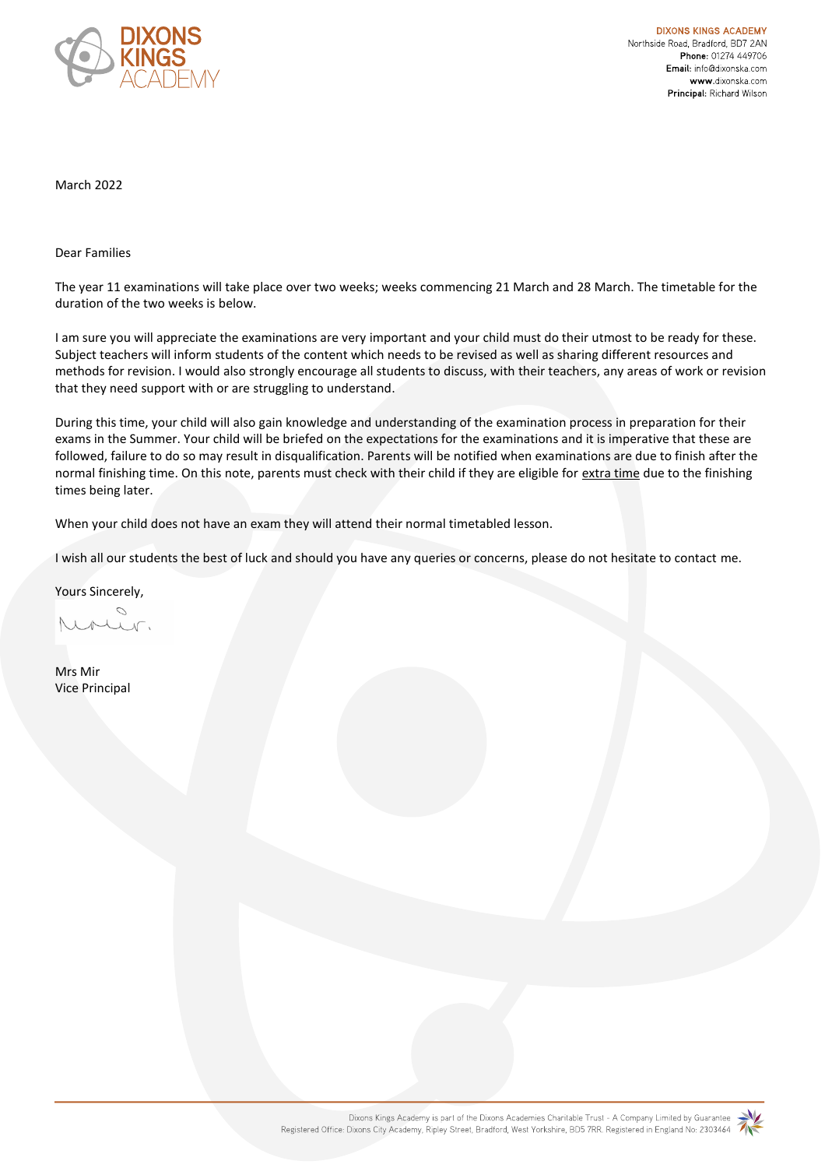

**DIXONS KINGS ACADEMY** Northside Road, Bradford, BD7 2AN Phone: 01274 449706 Email: info@dixonska.com www.dixonska.com Principal: Richard Wilson

March 2022

## Dear Families

The year 11 examinations will take place over two weeks; weeks commencing 21 March and 28 March. The timetable for the duration of the two weeks is below.

I am sure you will appreciate the examinations are very important and your child must do their utmost to be ready for these. Subject teachers will inform students of the content which needs to be revised as well as sharing different resources and methods for revision. I would also strongly encourage all students to discuss, with their teachers, any areas of work or revision that they need support with or are struggling to understand.

During this time, your child will also gain knowledge and understanding of the examination process in preparation for their exams in the Summer. Your child will be briefed on the expectations for the examinations and it is imperative that these are followed, failure to do so may result in disqualification. Parents will be notified when examinations are due to finish after the normal finishing time. On this note, parents must check with their child if they are eligible for extra time due to the finishing times being later.

When your child does not have an exam they will attend their normal timetabled lesson.

I wish all our students the best of luck and should you have any queries or concerns, please do not hesitate to contact me.

Yours Sincerely,

O Lur,

Mrs Mir Vice Principal

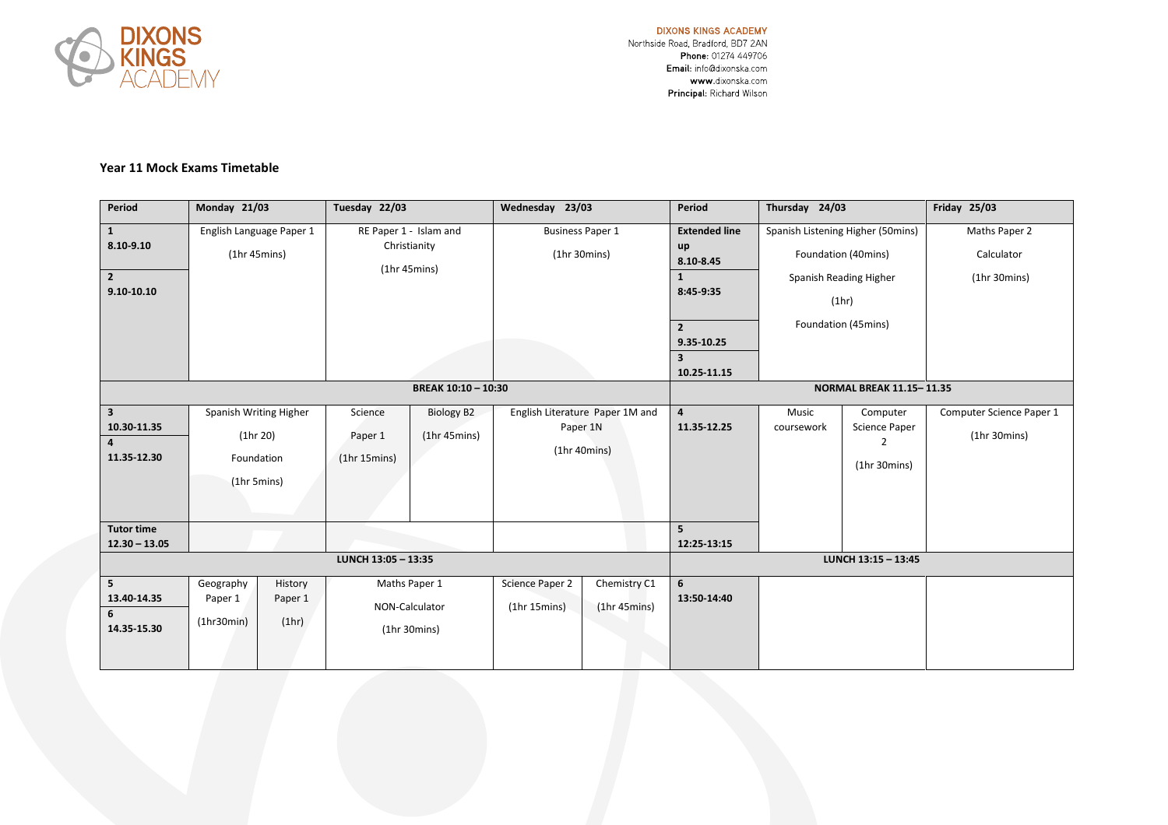

## **Year 11 Mock Exams Timetable**

| Period                                                         | Monday 21/03                                                    |                             | Tuesday 22/03                                           |                            | Wednesday 23/03                                             |                               | Period                                                                                                                                         | Thursday 24/03                                                                                                     |                                                              | Friday 25/03                                 |  |
|----------------------------------------------------------------|-----------------------------------------------------------------|-----------------------------|---------------------------------------------------------|----------------------------|-------------------------------------------------------------|-------------------------------|------------------------------------------------------------------------------------------------------------------------------------------------|--------------------------------------------------------------------------------------------------------------------|--------------------------------------------------------------|----------------------------------------------|--|
| 1<br>8.10-9.10<br>$2^{\circ}$<br>$9.10 - 10.10$                | English Language Paper 1<br>(1hr 45 mins)                       |                             | RE Paper 1 - Islam and<br>Christianity<br>(1hr 45 mins) |                            | <b>Business Paper 1</b><br>(1hr 30 mins)                    |                               | <b>Extended line</b><br>up<br>8.10-8.45<br>$\mathbf{1}$<br>8:45-9:35<br>$\overline{2}$<br>9.35-10.25<br>$\overline{\mathbf{3}}$<br>10.25-11.15 | Spanish Listening Higher (50mins)<br>Foundation (40mins)<br>Spanish Reading Higher<br>(1hr)<br>Foundation (45mins) |                                                              | Maths Paper 2<br>Calculator<br>(1hr 30 mins) |  |
| BREAK 10:10 - 10:30                                            |                                                                 |                             |                                                         |                            |                                                             |                               |                                                                                                                                                | <b>NORMAL BREAK 11.15-11.35</b>                                                                                    |                                                              |                                              |  |
| 3 <sup>1</sup><br>10.30-11.35<br>$\overline{a}$<br>11.35-12.30 | Spanish Writing Higher<br>(1hr 20)<br>Foundation<br>(1hr 5mins) |                             | Science<br>Paper 1<br>(1hr 15 mins)                     | Biology B2<br>(1hr.45mins) | English Literature Paper 1M and<br>Paper 1N<br>(1hr 40mins) |                               | $\overline{\mathbf{4}}$<br>11.35-12.25                                                                                                         | Music<br>coursework                                                                                                | Computer<br>Science Paper<br>$\overline{2}$<br>(1hr 30 mins) | Computer Science Paper 1<br>(1hr 30 mins)    |  |
| <b>Tutor time</b><br>$12.30 - 13.05$                           |                                                                 |                             |                                                         |                            |                                                             |                               | 5<br>12:25-13:15                                                                                                                               |                                                                                                                    |                                                              |                                              |  |
| LUNCH 13:05 - 13:35                                            |                                                                 |                             |                                                         |                            |                                                             |                               |                                                                                                                                                | LUNCH 13:15 - 13:45                                                                                                |                                                              |                                              |  |
| 5 <sup>1</sup><br>13.40-14.35<br>6<br>14.35-15.30              | Geography<br>Paper 1<br>(1hr30min)                              | History<br>Paper 1<br>(1hr) | Maths Paper 1<br>NON-Calculator<br>(1hr 30 mins)        |                            | Science Paper 2<br>(1hr 15 mins)                            | Chemistry C1<br>(1hr 45 mins) | 6<br>13:50-14:40                                                                                                                               |                                                                                                                    |                                                              |                                              |  |